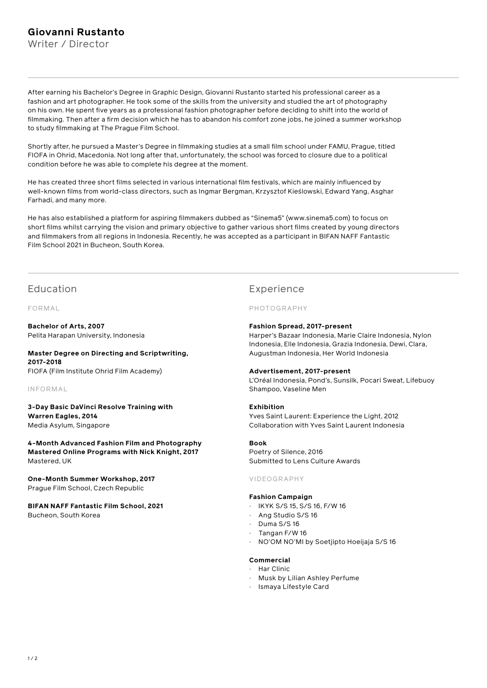# **Giovanni Rustanto**

Writer / Director

After earning his Bachelor's Degree in Graphic Design, Giovanni Rustanto started his professional career as a fashion and art photographer. He took some of the skills from the university and studied the art of photography on his own. He spent five years as a professional fashion photographer before deciding to shift into the world of filmmaking. Then after a firm decision which he has to abandon his comfort zone jobs, he joined a summer workshop to study filmmaking at The Prague Film School.

Shortly after, he pursued a Master's Degree in filmmaking studies at a small film school under FAMU, Prague, titled FIOFA in Ohrid, Macedonia. Not long after that, unfortunately, the school was forced to closure due to a political condition before he was able to complete his degree at the moment.

He has created three short films selected in various international film festivals, which are mainly influenced by well-known films from world-class directors, such as Ingmar Bergman, Krzysztof Kieślowski, Edward Yang, Asghar Farhadi, and many more.

He has also established a platform for aspiring filmmakers dubbed as "Sinema5" (www.sinema5.com) to focus on short films whilst carrying the vision and primary objective to gather various short films created by young directors and filmmakers from all regions in Indonesia. Recently, he was accepted as a participant in BIFAN NAFF Fantastic Film School 2021 in Bucheon, South Korea.

## Education

FORMAL

**Bachelor of Arts, 2007** Pelita Harapan University, Indonesia

### **Master Degree on Directing and Scriptwriting, 2017-2018** FIOFA (Film Institute Ohrid Film Academy)

INFORMAL

**3-Day Basic DaVinci Resolve Training with Warren Eagles, 2014** Media Asylum, Singapore

**4-Month Advanced Fashion Film and Photography Mastered Online Programs with Nick Knight, 2017** Mastered, UK

**One-Month Summer Workshop, 2017** Prague Film School, Czech Republic

**BIFAN NAFF Fantastic Film School, 2021** Bucheon, South Korea

# Experience

## PHOTOGRAPHY

## **Fashion Spread, 2017-present**

Harper's Bazaar Indonesia, Marie Claire Indonesia, Nylon Indonesia, Elle Indonesia, Grazia Indonesia, Dewi, Clara, Augustman Indonesia, Her World Indonesia

### **Advertisement, 2017-present**

L'Oréal Indonesia, Pond's, Sunsilk, Pocari Sweat, Lifebuoy Shampoo, Vaseline Men

### **Exhibition**

Yves Saint Laurent: Experience the Light, 2012 Collaboration with Yves Saint Laurent Indonesia

## **Book**

Poetry of Silence, 2016 Submitted to Lens Culture Awards

### VIDEOGRAPHY

### **Fashion Campaign**

- IKYK S/S 15, S/S 16, F/W 16
- Ang Studio S/S 16
- Duma S/S 16
- Tangan F/W 16
- NO'OM NO'MI by Soetjipto Hoeijaja S/S 16

## **Commercial**

- Har Clinic
- Musk by Lilian Ashley Perfume
- Ismaya Lifestyle Card